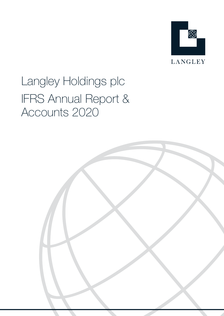

# Langley Holdings plc IFRS Annual Report & Accounts 2020

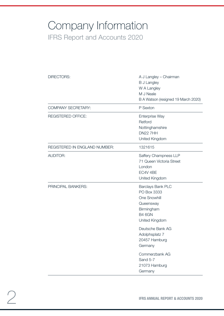## Company Information IFRS Report and Accounts 2020

| DIRECTORS:                    | A J Langley - Chairman<br><b>B J Langley</b><br>W A Langley<br>M J Neale                                       |  |
|-------------------------------|----------------------------------------------------------------------------------------------------------------|--|
|                               | B A Watson (resigned 19 March 2020)                                                                            |  |
| <b>COMPANY SECRETARY:</b>     | P Sexton                                                                                                       |  |
| <b>REGISTERED OFFICE:</b>     | <b>Enterprise Way</b><br>Retford<br>Nottinghamshire<br><b>DN22 7HH</b><br>United Kingdom                       |  |
| REGISTERED IN ENGLAND NUMBER: | 1321615                                                                                                        |  |
| <b>AUDITOR:</b>               | Saffery Champness LLP<br>71 Queen Victoria Street<br>London<br>EC4V 4BE<br>United Kingdom                      |  |
| PRINCIPAL BANKERS:            | Barclays Bank PLC<br>PO Box 3333<br>One Snowhill<br>Queensway<br>Birmingham<br><b>B4 6GN</b><br>United Kingdom |  |
|                               | Deutsche Bank AG<br>Adolphsplatz 7<br>20457 Hamburg<br>Germany<br>Commerzbank AG<br>Sand 5-7                   |  |
|                               | 21073 Hamburg<br>Germany                                                                                       |  |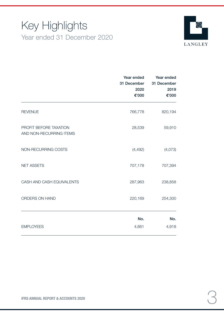## Key Highlights Year ended 31 December 2020



|                                                   | Year ended<br>31 December<br>2020<br>€'000 | Year ended<br>31 December<br>2019<br>€'000 |
|---------------------------------------------------|--------------------------------------------|--------------------------------------------|
| <b>REVENUE</b>                                    | 766,778                                    | 820,194                                    |
| PROFIT BEFORE TAXATION<br>AND NON-RECURRING ITEMS | 28,539                                     | 59,910                                     |
| NON-RECURRING COSTS                               | (4, 492)                                   | (4,073)                                    |
| <b>NET ASSETS</b>                                 | 707,178                                    | 707,394                                    |
| CASH AND CASH EQUIVALENTS                         | 287,963                                    | 238,858                                    |
| ORDERS ON HAND                                    | 220,169                                    | 254,300                                    |
|                                                   | No.                                        | No.                                        |
| <b>EMPLOYEES</b>                                  | 4,661                                      | 4,918                                      |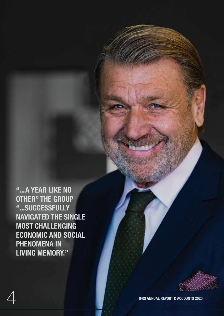"...A YEAR LIKE NO OTHER" THE GROUP "...SUCCESSFULLY NAVIGATED THE SINGLE MOST CHALLENGING ECONOMIC AND SOCIAL PHENOMENA IN LIVING MEMORY."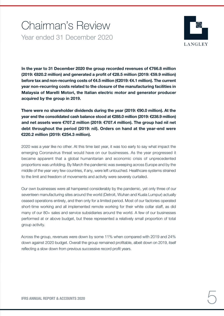## Chairman's Review Year ended 31 December 2020



In the year to 31 December 2020 the group recorded revenues of €766.8 million (2019: €820.2 million) and generated a profit of €28.5 million (2019: €59.9 million) before tax and non-recurring costs of €4.5 million (€2019: €4.1 million). The current year non-recurring costs related to the closure of the manufacturing facilities in Malaysia of Marelli Motori, the Italian electric motor and generator producer acquired by the group in 2019.

There were no shareholder dividends during the year (2019: €90.0 million). At the year end the consolidated cash balance stood at €288.0 million (2019: €238.9 million) and net assets were €707.2 million (2019: €707.4 million). The group had nil net debt throughout the period (2019: nil). Orders on hand at the year-end were €220.2 million (2019: €254.3 million).

2020 was a year like no other. At this time last year, it was too early to say what impact the emerging Coronavirus threat would have on our businesses. As the year progressed it became apparent that a global humanitarian and economic crisis of unprecedented proportions was unfolding. By March the pandemic was sweeping across Europe and by the middle of the year very few countries, if any, were left untouched. Healthcare systems strained to the limit and freedom of movements and activity were severely curtailed.

Our own businesses were all hampered considerably by the pandemic, yet only three of our seventeen manufacturing sites around the world (Detroit, Wuhan and Kuala Lumpur) actually ceased operations entirely, and then only for a limited period. Most of our factories operated short-time working and all implemented remote working for their white collar staff, as did many of our 80+ sales and service subsidiaries around the world. A few of our businesses performed at or above budget, but these represented a relatively small proportion of total group activity.

Across the group, revenues were down by some 11% when compared with 2019 and 24% down against 2020 budget. Overall the group remained profitable, albeit down on 2019, itself reflecting a slow down from previous successive record profit years.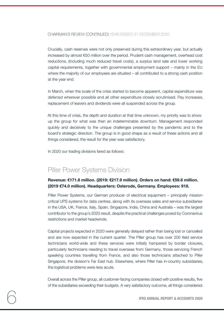Crucially, cash reserves were not only preserved during this extraordinary year, but actually increased by almost €50 million over the period. Prudent cash management, overhead cost reductions, (including much reduced travel costs), a surplus land sale and lower working capital requirements, together with governmental employment support – mainly in the EU where the majority of our employees are situated – all contributed to a strong cash position at the year end.

In March, when the scale of the crisis started to become apparent, capital expenditure was deferred wherever possible and all other expenditure closely scrutinised. Pay increases, replacement of leavers and dividends were all suspended across the group.

At this time of crisis, the depth and duration at that time unknown, my priority was to shore up the group for what was then an indeterminable downturn. Management responded quickly and decisively to the unique challenges presented by the pandemic and to the board's strategic direction. The group is in good shape as a result of these actions and all things considered, the result for the year was satisfactory.

In 2020 our trading divisions fared as follows:

### Piller Power Systems Division

#### Revenue: €171.8 million. (2019: €217.9 million). Orders on hand: €59.6 million. (2019 €74.0 million). Headquarters: Osterode, Germany. Employees: 918.

Piller Power Systems, our German producer of electrical equipment – principally missioncritical UPS systems for data centres, along with its overseas sales and service subsidiaries in the USA, UK, France, Italy, Spain, Singapore, India, China and Australia – was the largest contributor to the group's 2020 result, despite the practical challenges posed by Coronavirus restrictions and market headwinds.

Capital projects expected in 2020 were generally delayed rather than being lost or cancelled and are now expected in the current quarter. The Piller group has over 200 field service technicians world-wide and these services were initially hampered by border closures, particularly technicians needing to travel overseas from Germany, those servicing French speaking countries travelling from France, and also those technicians attached to Piller Singapore, the division's Far East hub. Elsewhere, where Piller has in-country subsidiaries, the logistical problems were less acute.

Overall across the Piller group, all customer-facing companies closed with positive results, five of the subsidiaries exceeding their budgets. A very satisfactory outcome, all things considered.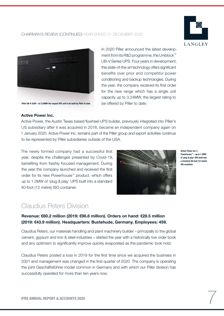



Piller UB-V 3240 – at 3.24MW the largest UPS unit to be built by Piller to date.

Active Power Inc.

In 2020 Piller announced the latest development from its R&D programme, the Uniblock™ UB-V Series UPS. Four years in development, this state-of-the-art technology offers significant benefits over prior and competitor power conditioning and backup technologies. During the year, the company received its first order for the new range which has a single unit capacity up to 3.24MW, the largest rating to be offered by Piller to date.

Active Power, the Austin Texas based flywheel UPS builder, previously integrated into Piller's US subsidiary after it was acquired in 2016, became an independent company again on 1 January 2020. Active Power Inc. remains part of the Piller group and export activities continue to be represented by Piller subsidiaries outside of the USA.

The newly formed company had a successful first year, despite the challenges presented by Covid-19, benefiting from freshly focused management. During the year the company launched and received the first order for its new Powerhouse™ product, which offers up to 1.2MW of 'plug & play' UPS built into a standard 40-foot (12 metre) ISO container.



Active Power Inc.'s Powerhouse™ – up to 1.2MW of 'plug & play' UPS built into a standard 40-foot (12 metre) ISO container.

### Claudius Peters Division

#### Revenue: €80.2 million (2019: €98.8 million). Orders on hand: €28.5 million (2019: €43.9 million). Headquarters: Buxtehude, Germany. Employees: 459.

Claudius Peters, our materials handling and plant machinery builder – principally to the global cement, gypsum and iron & steel industries – started the year with a historically low order book and any optimism to significantly improve quickly evaporated as the pandemic took hold.

Claudius Peters posted a loss in 2019 for the first time since we acquired the business in 2001 and management was changed in the first quarter of 2020. The company is operating the joint Geschäftsführer model common in Germany and with which our Piller division has successfully operated for more than ten years now.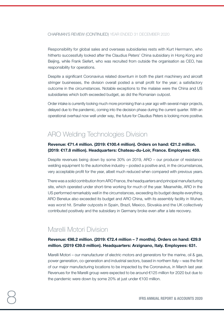Responsibility for global sales and overseas subsidiaries rests with Kurt Herrmann, who hitherto successfully looked after the Claudius Peters' China subsidiary in Hong Kong and Beijing, while Frank Siefert, who was recruited from outside the organisation as CEO, has responsibility for operations.

Despite a significant Coronavirus related downturn in both the plant machinery and aircraft stringer businesses, the division overall posted a small profit for the year; a satisfactory outcome in the circumstances. Notable exceptions to the malaise were the China and US subsidiaries which both exceeded budget, as did the Romanian outpost.

Order intake is currently looking much more promising than a year ago with several major projects, delayed due to the pandemic, coming into the decision phase during the current quarter. With an operational overhaul now well under way, the future for Claudius Peters is looking more positive.

## ARO Welding Technologies Division

#### Revenue: €71.4 million. (2019: €100.4 million). Orders on hand: €21.2 million. (2019: €17.8 million). Headquarters: Chateau-du-Loir, France. Employees: 459.

Despite revenues being down by some 30% on 2019, ARO – our producer of resistance welding equipment to the automotive industry – posted a positive and, in the circumstances, very acceptable profit for the year, albeit much reduced when compared with previous years.

There was a solid contribution from ARO France, the headquarters and principal manufacturing site, which operated under short-time working for much of the year. Meanwhile, ARO in the US performed remarkably well in the circumstances, exceeding its budget despite everything. ARO Benelux also exceeded its budget and ARO China, with its assembly facility in Wuhan, was worst hit. Smaller outposts in Spain, Brazil, Mexico, Slovakia and the UK collectively contributed positively and the subsidiary in Germany broke even after a late recovery.

### Marelli Motori Division

#### Revenue: €98.2 million. (2019: €72.4 million – 7 months). Orders on hand: €29.9 million. (2019 €39.0 million). Headquarters: Arzignano, Italy. Employees: 631.

Marelli Motori – our manufacturer of electric motors and generators for the marine, oil & gas, power generation, co-generation and industrial sectors, based in northern Italy – was the first of our major manufacturing locations to be impacted by the Coronavirus, in March last year. Revenues for the Marelli group were expected to be around €125 million for 2020 but due to the pandemic were down by some 20% at just under €100 million.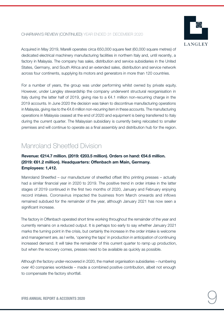

Acquired in May 2019, Marelli operates circa 650,000 square feet (60,000 square metres) of dedicated electrical machinery manufacturing facilities in northern Italy and, until recently, a factory in Malaysia. The company has sales, distribution and service subsidiaries in the United States, Germany, and South Africa and an extended sales, distribution and service network across four continents, supplying its motors and generators in more than 120 countries.

For a number of years, the group was under performing whilst owned by private equity. However, under Langley stewardship the company underwent structural reorganisation in Italy during the latter half of 2019, giving rise to a  $\epsilon$ 4.1 million non-recurring charge in the 2019 accounts. In June 2020 the decision was taken to discontinue manufacturing operations in Malaysia, giving rise to the €4.6 million non-recurring item in these accounts. The manufacturing operations in Malaysia ceased at the end of 2020 and equipment is being transferred to Italy during the current quarter. The Malaysian subsidiary is currently being relocated to smaller premises and will continue to operate as a final assembly and distribution hub for the region.

## Manroland Sheetfed Division

#### Revenue: €214.7 million. (2019: €203.5 million). Orders on hand: €54.6 million. (2019: €61.2 million). Headquarters: Offenbach am Main, Germany. Employees: 1,412.

Manroland Sheetfed – our manufacturer of sheetfed offset litho printing presses – actually had a similar financial year in 2020 to 2019. The positive trend in order intake in the latter stages of 2019 continued in the first two months of 2020, January and February enjoying record intakes. Coronavirus impacted the business from March onwards and inflows remained subdued for the remainder of the year, although January 2021 has now seen a significant increase.

The factory in Offenbach operated short time working throughout the remainder of the year and currently remains on a reduced output. It is perhaps too early to say whether January 2021 marks the turning point in the crisis, but certainly the increase in the order intake is welcome and management are, as I write, 'opening the taps' in production in anticipation of continuing increased demand. It will take the remainder of this current quarter to ramp up production, but when the recovery comes, presses need to be available as quickly as possible.

Although the factory under-recovered in 2020, the market organisation subsidiaries – numbering over 40 companies worldwide – made a combined positive contribution, albeit not enough to compensate the factory shortfall.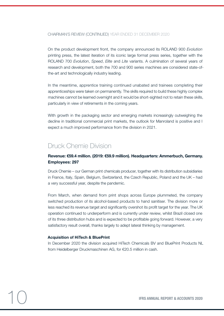On the product development front, the company announced its ROLAND 900 *Evolution* printing press, the latest iteration of its iconic large format press series, together with the ROLAND 700 *Evolution*, *Speed*, *Elite* and *Lite* variants. A culmination of several years of research and development, both the 700 and 900 series machines are considered state-ofthe-art and technologically industry leading.

In the meantime, apprentice training continued unabated and trainees completing their apprenticeships were taken on permanently. The skills required to build these highly complex machines cannot be learned overnight and it would be short-sighted not to retain these skills, particularly in view of retirements in the coming years.

With growth in the packaging sector and emerging markets increasingly outweighing the decline in traditional commercial print markets, the outlook for Manroland is positive and I expect a much improved performance from the division in 2021.

## Druck Chemie Division

#### Revenue: €59.4 million. (2019: €59.9 million). Headquarters: Ammerbuch, Germany. Employees: 297

Druck Chemie – our German print chemicals producer, together with its distribution subsidiaries in France, Italy, Spain, Belgium, Switzerland, the Czech Republic, Poland and the UK – had a very successful year, despite the pandemic.

From March, when demand from print shops across Europe plummeted, the company switched production of its alcohol-based products to hand sanitiser. The division more or less reached its revenue target and significantly overshot its profit target for the year. The UK operation continued to underperform and is currently under review, whilst Brazil closed one of its three distribution hubs and is expected to be profitable going forward. However, a very satisfactory result overall, thanks largely to adept lateral thinking by management.

#### Acquisition of HiTech & BluePrint

In December 2020 the division acquired HiTech Chemicals BV and BluePrint Products NL from Heidelberger Druckmaschinen AG, for €20.5 million in cash.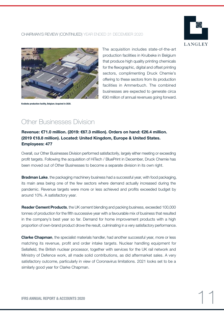



Kruibeke production facility, Belgium. Acquired in 2020.

The acquisition includes state-of-the-art production facilities in Kruibeke in Belgium that produce high quality printing chemicals for the flexographic, digital and offset printing sectors, complimenting Druck Chemie's offering to these sectors from its production facilities in Ammerbuch. The combined businesses are expected to generate circa €90 million of annual revenues going forward.

## Other Businesses Division

#### Revenue: €71.0 million. (2019: €67.3 million). Orders on hand: €26.4 million. (2019 €18.8 million). Located: United Kingdom, Europe & United States. Employees: 477

Overall, our Other Businesses Division performed satisfactorily, largely either meeting or exceeding profit targets. Following the acquisition of HiTech / BluePrint in December, Druck Chemie has been moved out of Other Businesses to become a separate division in its own right.

**Bradman Lake**, the packaging machinery business had a successful year, with food packaging, its main area being one of the few sectors where demand actually increased during the pandemic. Revenue targets were more or less achieved and profits exceeded budget by around 10%. A satisfactory year.

**Reader Cement Products**, the UK cement blending and packing business, exceeded 100,000 tonnes of production for the fifth successive year with a favourable mix of business that resulted in the company's best year so far. Demand for home improvement products with a high proportion of own-brand product drove the result, culminating in a very satisfactory performance.

**Clarke Chapman**, the specialist materials handler, had another successful year, more or less matching its revenue, profit and order intake targets. Nuclear handling equipment for Sellafield, the British nuclear processor, together with services for the UK rail network and Ministry of Defence work, all made solid contributions, as did aftermarket sales. A very satisfactory outcome, particularly in view of Coronavirus limitations. 2021 looks set to be a similarly good year for Clarke Chapman.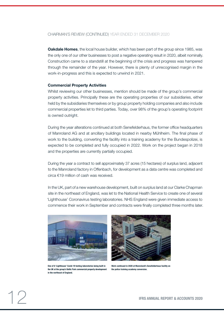**Oakdale Homes**, the local house builder, which has been part of the group since 1985, was the only one of our other businesses to post a negative operating result in 2020, albeit nominally. Construction came to a standstill at the beginning of the crisis and progress was hampered through the remainder of the year. However, there is plenty of unrecognised margin in the work-in-progress and this is expected to unwind in 2021.

#### Commercial Property Activities

Whilst reviewing our other businesses, mention should be made of the group's commercial property activities. Principally these are the operating properties of our subsidiaries, either held by the subsidiaries themselves or by group property holding companies and also include commercial properties let to third parties. Today, over 98% of the group's operating footprint is owned outright.

During the year alterations continued at both Senefelderhaus, the former office headquarters of Manroland AG and at ancillary buildings located in nearby Mühlheim. The final phase of work to the building, converting the facility into a training academy for the Bundespolizei, is expected to be completed and fully occupied in 2022. Work on the project began in 2018 and the properties are currently partially occupied.

During the year a contract to sell approximately 37 acres (15 hectares) of surplus land, adjacent to the Manroland factory in Offenbach, for development as a data centre was completed and circa €19 million of cash was received.

In the UK, part of a new warehouse development, built on surplus land at our Clarke Chapman site in the northeast of England, was let to the National Health Service to create one of several 'Lighthouse' Coronavirus testing laboratories. NHS England were given immediate access to commence their work in September and contracts were finally completed three months later.



One of 6 'Lighthouse' Covid-19 testing laboratories being built in the UK at the group's Baltic Park commercial property development in the northeast of England.



Work continued in 2020 at Manroland's Senefelderhaus facility on the police training academy conversion.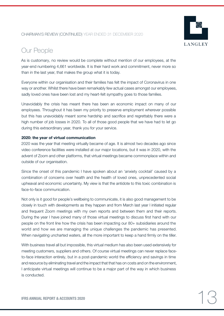

## Our People

As is customary, no review would be complete without mention of our employees, at the year-end numbering 4,661 worldwide. It is their hard work and commitment, never more so than in the last year, that makes the group what it is today.

Everyone within our organisation and their families has felt the impact of Coronavirus in one way or another. Whilst there have been remarkably few actual cases amongst our employees, sadly loved ones have been lost and my heart-felt sympathy goes to those families.

Unavoidably the crisis has meant there has been an economic impact on many of our employees. Throughout it has been my priority to preserve employment wherever possible but this has unavoidably meant some hardship and sacrifice and regrettably there were a high number of job losses in 2020. To all of those good people that we have had to let go during this extraordinary year, thank you for your service.

#### 2020: the year of virtual communication

2020 was the year that meeting virtually became of age. It is almost two decades ago since video conference facilities were installed at our major locations, but it was in 2020, with the advent of Zoom and other platforms, that virtual meetings became commonplace within and outside of our organisation.

Since the onset of this pandemic I have spoken about an 'anxiety cocktail' caused by a combination of concerns over health and the health of loved ones, unprecedented social upheaval and economic uncertainty. My view is that the antidote to this toxic combination is face-to-face communication.

Not only is it good for people's wellbeing to communicate, it is also good management to be closely in touch with developments as they happen and from March last year I initiated regular and frequent Zoom meetings with my own reports and between them and their reports. During the year I have joined many of those virtual meetings to discuss first hand with our people on the front line how the crisis has been impacting our 80+ subsidiaries around the world and how we are managing the unique challenges the pandemic has presented. When navigating uncharted waters, all the more important to keep a hand firmly on the tiller.

With business travel all but impossible, this virtual medium has also been used extensively for meeting customers, suppliers and others. Of course virtual meetings can never replace faceto-face interaction entirely, but in a post-pandemic world the efficiency and savings in time and resource by eliminating travel and the impact that that has on costs and on the environment, I anticipate virtual meetings will continue to be a major part of the way in which business is conducted.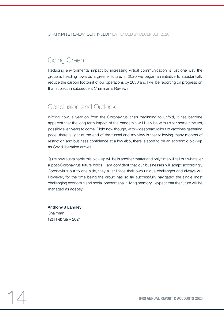## Going Green

Reducing environmental impact by increasing virtual communication is just one way the group is heading towards a greener future. In 2020 we began an initiative to substantially reduce the carbon footprint of our operations by 2030 and I will be reporting on progress on that subject in subsequent Chairman's Reviews.

## Conclusion and Outlook

Writing now, a year on from the Coronavirus crisis beginning to unfold, it has become apparent that the long term impact of the pandemic will likely be with us for some time yet, possibly even years to come. Right now though, with widespread rollout of vaccines gathering pace, there is light at the end of the tunnel and my view is that following many months of restriction and business confidence at a low ebb, there is soon to be an economic pick-up as Covid liberation arrives.

Quite how sustainable this pick-up will be is another matter and only time will tell but whatever a post-Coronavirus future holds, I am confident that our businesses will adapt accordingly. Coronavirus put to one side, they all still face their own unique challenges and always will. However, for the time being the group has so far successfully navigated the single most challenging economic and social phenomena in living memory. I expect that the future will be managed as adeptly.

Anthony J Langley Chairman 12th February 2021

IFRS ANNUAL REPORT & ACCOUNTS 2020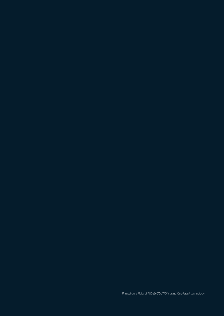Printed on a Roland 700 EVOLUTION using OnePass® technology.